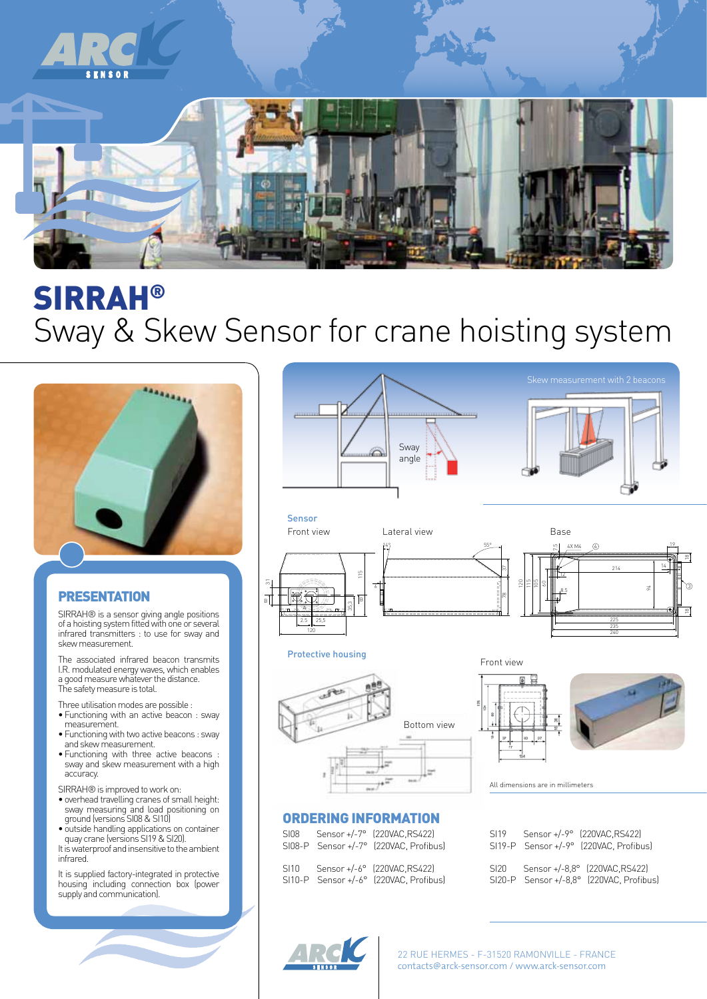

## SIRRAH® Sway & Skew Sensor for crane hoisting system



#### PRESENTATION

SIRRAH® is a sensor giving angle positions of a hoisting system fitted with one or several infrared transmitters : to use for sway and skew measurement.

The associated infrared beacon transmits I.R. modulated energy waves, which enables a good measure whatever the distance. The safety measure is total.

Three utilisation modes are possible :

- Functioning with an active beacon : sway measurement.
- Functioning with two active beacons : sway and skew measurement.
- Functioning with three active beacons : sway and skew measurement with a high accuracy.
- SIRRAH® is improved to work on:
- overhead travelling cranes of small height: sway measuring and load positioning on ground (versions SI08 & SI10)
- outside handling applications on container quay crane (versions SI19 & SI20).
- It is waterproof and insensitive to the ambient infrared.

It is supplied factory-integrated in protective housing including connection box (power supply and communication).





#### Protective housing





3

All dimensions are in millimeters

#### ORDERING INFORMATION

| SI08 | Sensor +/-7° (220VAC.RS422)<br>SI08-P Sensor +/-7° (220VAC, Profibus) | S119<br>$SI19-P$ Se             | S۴ |
|------|-----------------------------------------------------------------------|---------------------------------|----|
| SI10 | Sensor +/-6° (220VAC.RS422)<br>SI10-P Sensor +/-6° (220VAC, Profibus) | SI <sub>20</sub><br>$SI20-P$ Se | Se |

| SI19 | Sensor +/-9° (220VAC.RS422)<br>SI19-P Sensor +/-9° (220VAC, Profibus)     |
|------|---------------------------------------------------------------------------|
| SI20 | Sensor +/-8.8° (220VAC.RS422)<br>SI20-P Sensor +/-8,8° (220VAC, Profibus) |



22 RUE HERMES - F-31520 RAMONVILLE - FRANCE contacts@arck-sensor.com / www.arck-sensor.com